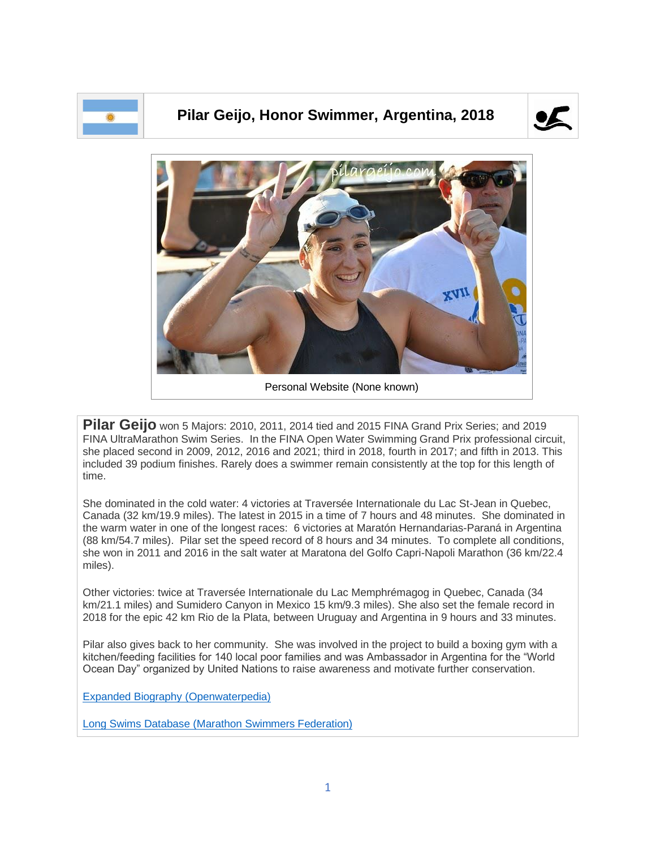

## **Pilar Geijo, Honor Swimmer, Argentina, 2018**





Personal Website (None known)

Pilar Geijo won 5 Majors: 2010, 2011, 2014 tied and 2015 FINA Grand Prix Series; and 2019 FINA UltraMarathon Swim Series. In the FINA Open Water Swimming Grand Prix professional circuit, she placed second in 2009, 2012, 2016 and 2021; third in 2018, fourth in 2017; and fifth in 2013. This included 39 podium finishes. Rarely does a swimmer remain consistently at the top for this length of time.

She dominated in the cold water: 4 victories at Traversée Internationale du Lac St-Jean in Quebec, Canada (32 km/19.9 miles). The latest in 2015 in a time of 7 hours and 48 minutes. She dominated in the warm water in one of the longest races: 6 victories at Maratón Hernandarias-Paraná in Argentina (88 km/54.7 miles). Pilar set the speed record of 8 hours and 34 minutes. To complete all conditions, she won in 2011 and 2016 in the salt water at Maratona del Golfo Capri-Napoli Marathon (36 km/22.4 miles).

Other victories: twice at Traversée Internationale du Lac Memphrémagog in Quebec, Canada (34 km/21.1 miles) and Sumidero Canyon in Mexico 15 km/9.3 miles). She also set the female record in 2018 for the epic 42 km Rio de la Plata, between Uruguay and Argentina in 9 hours and 33 minutes.

Pilar also gives back to her community. She was involved in the project to build a boxing gym with a kitchen/feeding facilities for 140 local poor families and was Ambassador in Argentina for the "World Ocean Day" organized by United Nations to raise awareness and motivate further conservation.

[Expanded Biography](https://www.openwaterpedia.com/index.php?title=Pilar_Geijo) (Openwaterpedia)

Long Swims Database [\(Marathon Swimmers Federation\)](https://db.marathonswimmers.org/p/pilar-geijo/)